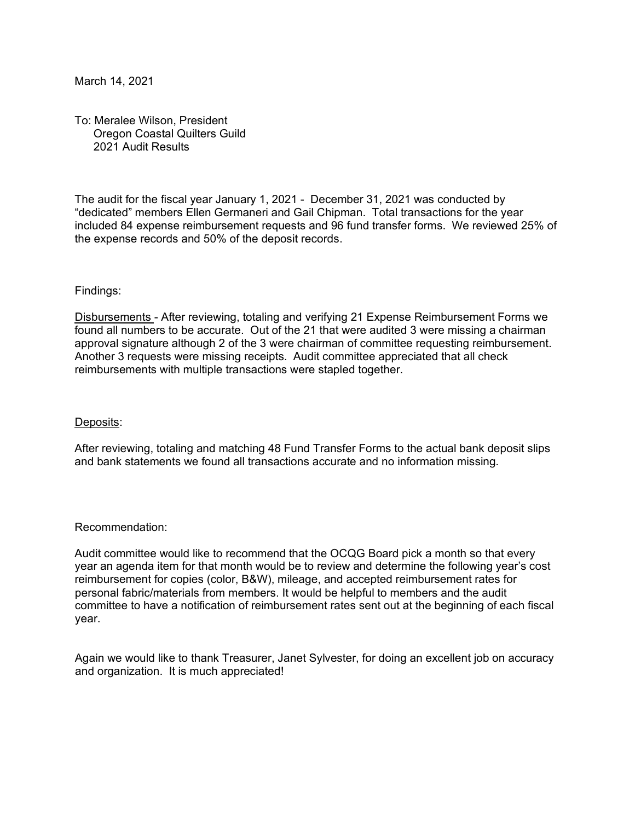March 14, 2021

To: Meralee Wilson, President Oregon Coastal Quilters Guild 2021 Audit Results

The audit for the fiscal year January 1, 2021 - December 31, 2021 was conducted by "dedicated" members Ellen Germaneri and Gail Chipman. Total transactions for the year included 84 expense reimbursement requests and 96 fund transfer forms. We reviewed 25% of the expense records and 50% of the deposit records.

## Findings:

Disbursements - After reviewing, totaling and verifying 21 Expense Reimbursement Forms we found all numbers to be accurate. Out of the 21 that were audited 3 were missing a chairman approval signature although 2 of the 3 were chairman of committee requesting reimbursement. Another 3 requests were missing receipts. Audit committee appreciated that all check reimbursements with multiple transactions were stapled together.

## Deposits:

After reviewing, totaling and matching 48 Fund Transfer Forms to the actual bank deposit slips and bank statements we found all transactions accurate and no information missing.

## Recommendation:

Audit committee would like to recommend that the OCQG Board pick a month so that every year an agenda item for that month would be to review and determine the following year's cost reimbursement for copies (color, B&W), mileage, and accepted reimbursement rates for personal fabric/materials from members. It would be helpful to members and the audit committee to have a notification of reimbursement rates sent out at the beginning of each fiscal year.

Again we would like to thank Treasurer, Janet Sylvester, for doing an excellent job on accuracy and organization. It is much appreciated!